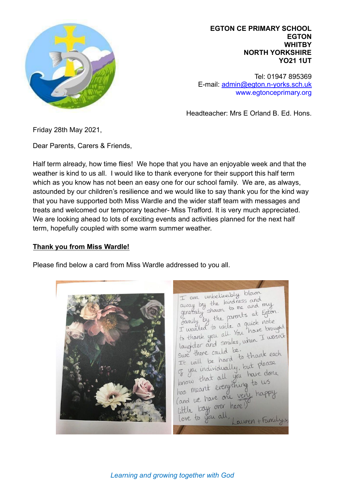

**EGTON CE PRIMARY SCHOOL EGTON WHITBY NORTH YORKSHIRE YO21 1UT**

Tel: 01947 895369 E-mail: [admin@egton.n-yorks.sch.uk](mailto:admin@egton.n-yorks.sch.uk) www.egtonceprimary.org

Headteacher: Mrs E Orland B. Ed. Hons.

Friday 28th May 2021,

Dear Parents, Carers & Friends,

Half term already, how time flies! We hope that you have an enjoyable week and that the weather is kind to us all. I would like to thank everyone for their support this half term which as you know has not been an easy one for our school family. We are, as always, astounded by our children's resilience and we would like to say thank you for the kind way that you have supported both Miss Wardle and the wider staff team with messages and treats and welcomed our temporary teacher- Miss Trafford. It is very much appreciated. We are looking ahead to lots of exciting events and activities planned for the next half term, hopefully coupled with some warm summer weather.

## **Thank you from Miss Wardle!**

Please find below a card from Miss Wardle addressed to you all.

I am unbelievably blown I am unbelievely<br>away by the kindness and the kindness and my generaty shown to me and my<br>generaty shown to me and my<br>family by the parents at Egton amily by the find a quick note I wanted to write a quick noted<br>to thank you all . You have brought to thank you all You have I wasn't<br>laughter and smiles, when I wasn't sure there could be. sure there could be:<br>It will be hard to thank each It will be hard<br>of you individually, but please of you individually, but I<br>know that all you have done know that all you to us Cand we have one ven little boys over here love to you all auren + Family>

*Learning and growing together with God*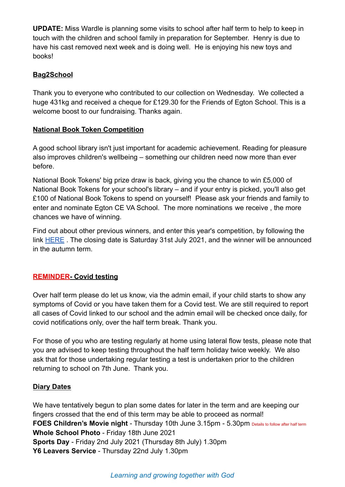**UPDATE:** Miss Wardle is planning some visits to school after half term to help to keep in touch with the children and school family in preparation for September. Henry is due to have his cast removed next week and is doing well. He is enjoying his new toys and books!

# **Bag2School**

Thank you to everyone who contributed to our collection on Wednesday. We collected a huge 431kg and received a cheque for £129.30 for the Friends of Egton School. This is a welcome boost to our fundraising. Thanks again.

## **National Book Token Competition**

A good school library isn't just important for academic achievement. Reading for pleasure also improves children's wellbeing – something our children need now more than ever before.

National Book Tokens' big prize draw is back, giving you the chance to win £5,000 of National Book Tokens for your school's library – and if your entry is picked, you'll also get £100 of National Book Tokens to spend on yourself! Please ask your friends and family to enter and nominate Egton CE VA School. The more nominations we receive , the more chances we have of winning.

Find out about other previous winners, and enter this year's competition, by following the link **[HERE](https://www.nationalbooktokens.com/schools?utm_source=facebook&utm_medium=social&utm_content=schools-organic&utm_campaign=schools-organic&fbclid=IwAR2wrH3-zLOOg3aGfchym7bpGggiDBaassbxFeZ_3npCdUAnWpDEzcUTc8w)**. The closing date is Saturday 31st July 2021, and the winner will be announced in the autumn term.

## **REMINDER- Covid testing**

Over half term please do let us know, via the admin email, if your child starts to show any symptoms of Covid or you have taken them for a Covid test. We are still required to report all cases of Covid linked to our school and the admin email will be checked once daily, for covid notifications only, over the half term break. Thank you.

For those of you who are testing regularly at home using lateral flow tests, please note that you are advised to keep testing throughout the half term holiday twice weekly. We also ask that for those undertaking regular testing a test is undertaken prior to the children returning to school on 7th June. Thank you.

## **Diary Dates**

We have tentatively begun to plan some dates for later in the term and are keeping our fingers crossed that the end of this term may be able to proceed as normal! **FOES Children's Movie night** - Thursday 10th June 3.15pm - 5.30pm Details to follow after half term **Whole School Photo** - Friday 18th June 2021 **Sports Day** - Friday 2nd July 2021 (Thursday 8th July) 1.30pm **Y6 Leavers Service** - Thursday 22nd July 1.30pm

*Learning and growing together with God*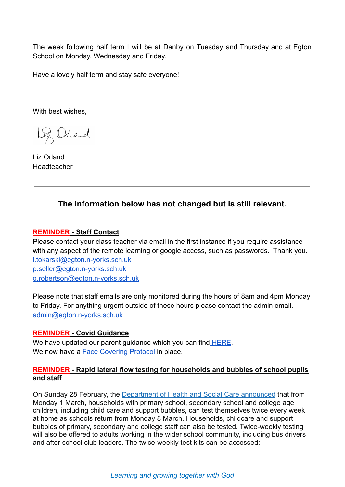The week following half term I will be at Danby on Tuesday and Thursday and at Egton School on Monday, Wednesday and Friday.

Have a lovely half term and stay safe everyone!

With best wishes,

Loz Orland

Liz Orland Headteacher

## **The information below has not changed but is still relevant.**

#### **REMINDER - Staff Contact**

Please contact your class teacher via email in the first instance if you require assistance with any aspect of the remote learning or google access, such as passwords. Thank you. [l.tokarski@egton.n-yorks.sch.uk](mailto:l.tokarski@egton.n-yorks.sch.uk) [p.seller@egton.n-yorks.sch.uk](mailto:p.seller@egton.n-yorks.sch.uk) [g.robertson@egton.n-yorks.sch.uk](mailto:g.robertson@egton.n-yorks.sch.uk)

Please note that staff emails are only monitored during the hours of 8am and 4pm Monday to Friday. For anything urgent outside of these hours please contact the admin email. [admin@egton.n-yorks.sch.uk](mailto:admin@egton.n-yorks.sch.uk)

#### **REMINDER - Covid Guidance**

We have updated our parent guidance which you can find [HERE](https://d3hgrlq6yacptf.cloudfront.net/5f43d97682f5d/content/pages/documents/egton-parent-guidance-march-202147665032217.pdf). We now have a [Face Covering Protocol](https://d3hgrlq6yacptf.cloudfront.net/5f43d97682f5d/content/pages/documents/face-mask-protocol-for-danby-and-egton-primary-schools.pdf) in place.

#### **REMINDER - Rapid lateral flow testing for households and bubbles of school pupils and staff**

On Sunday 28 February, the [Department of Health and](https://www.gov.uk/government/news/all-households-with-children-of-school-aged-to-get-rapid-covid-19-tests-per-person-per-week?utm_source=1%20March%202021%20C19&utm_medium=Daily%20Email%20C19&utm_campaign=DfE%20C19) Social Care announced that from Monday 1 March, households with primary school, secondary school and college age children, including child care and support bubbles, can test themselves twice every week at home as schools return from Monday 8 March. Households, childcare and support bubbles of primary, secondary and college staff can also be tested. Twice-weekly testing will also be offered to adults working in the wider school community, including bus drivers and after school club leaders. The twice-weekly test kits can be accessed: